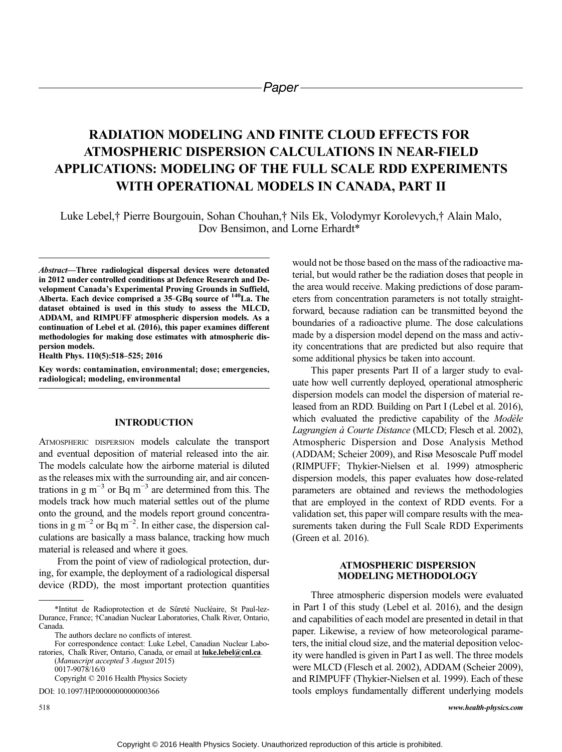# RADIATION MODELING AND FINITE CLOUD EFFECTS FOR ATMOSPHERIC DISPERSION CALCULATIONS IN NEAR-FIELD APPLICATIONS: MODELING OF THE FULL SCALE RDD EXPERIMENTS WITH OPERATIONAL MODELS IN CANADA, PART II

Luke Lebel,† Pierre Bourgouin, Sohan Chouhan,† Nils Ek, Volodymyr Korolevych,† Alain Malo, Dov Bensimon, and Lorne Erhardt\*

Abstract—Three radiological dispersal devices were detonated in 2012 under controlled conditions at Defence Research and Development Canada's Experimental Proving Grounds in Suffield, Alberta. Each device comprised a  $35$ -GBq source of  $140$ La. The dataset obtained is used in this study to assess the MLCD, ADDAM, and RIMPUFF atmospheric dispersion models. As a continuation of Lebel et al. (2016), this paper examines different methodologies for making dose estimates with atmospheric dispersion models.

Health Phys. 110(5):518–525; 2016

Key words: contamination, environmental; dose; emergencies, radiological; modeling, environmental

## INTRODUCTION

ATMOSPHERIC DISPERSION models calculate the transport and eventual deposition of material released into the air. The models calculate how the airborne material is diluted as the releases mix with the surrounding air, and air concentrations in g m<sup>-3</sup> or Bq m<sup>-3</sup> are determined from this. The models track how much material settles out of the plume onto the ground, and the models report ground concentrations in  $g m^{-2}$  or Bq m<sup>-2</sup>. In either case, the dispersion calculations are basically a mass balance, tracking how much material is released and where it goes.

From the point of view of radiological protection, during, for example, the deployment of a radiological dispersal device (RDD), the most important protection quantities

(Manuscript accepted 3 August 2015) 0017-9078/16/0 Copyright © 2016 Health Physics Society

DOI: 10.1097/HP.0000000000000366

would not be those based on the mass of the radioactive material, but would rather be the radiation doses that people in the area would receive. Making predictions of dose parameters from concentration parameters is not totally straightforward, because radiation can be transmitted beyond the boundaries of a radioactive plume. The dose calculations made by a dispersion model depend on the mass and activity concentrations that are predicted but also require that some additional physics be taken into account.

This paper presents Part II of a larger study to evaluate how well currently deployed, operational atmospheric dispersion models can model the dispersion of material released from an RDD. Building on Part I (Lebel et al. 2016), which evaluated the predictive capability of the Modèle Lagrangien à Courte Distance (MLCD; Flesch et al. 2002), Atmospheric Dispersion and Dose Analysis Method (ADDAM; Scheier 2009), and Risø Mesoscale Puff model (RIMPUFF; Thykier-Nielsen et al. 1999) atmospheric dispersion models, this paper evaluates how dose-related parameters are obtained and reviews the methodologies that are employed in the context of RDD events. For a validation set, this paper will compare results with the measurements taken during the Full Scale RDD Experiments (Green et al. 2016).

## ATMOSPHERIC DISPERSION MODELING METHODOLOGY

Three atmospheric dispersion models were evaluated in Part I of this study (Lebel et al. 2016), and the design and capabilities of each model are presented in detail in that paper. Likewise, a review of how meteorological parameters, the initial cloud size, and the material deposition velocity were handled is given in Part I as well. The three models were MLCD (Flesch et al. 2002), ADDAM (Scheier 2009), and RIMPUFF (Thykier-Nielsen et al. 1999). Each of these tools employs fundamentally different underlying models

<sup>\*</sup>Intitut de Radioprotection et de Sûreté Nucléaire, St Paul-lez-Durance, France; †Canadian Nuclear Laboratories, Chalk River, Ontario, Canada.

The authors declare no conflicts of interest.

For correspondence contact: Luke Lebel, Canadian Nuclear Laboratories, Chalk River, Ontario, Canada, or email at **[luke.lebel@cnl.ca](mailto:luke.lebel@cnl.ca)**.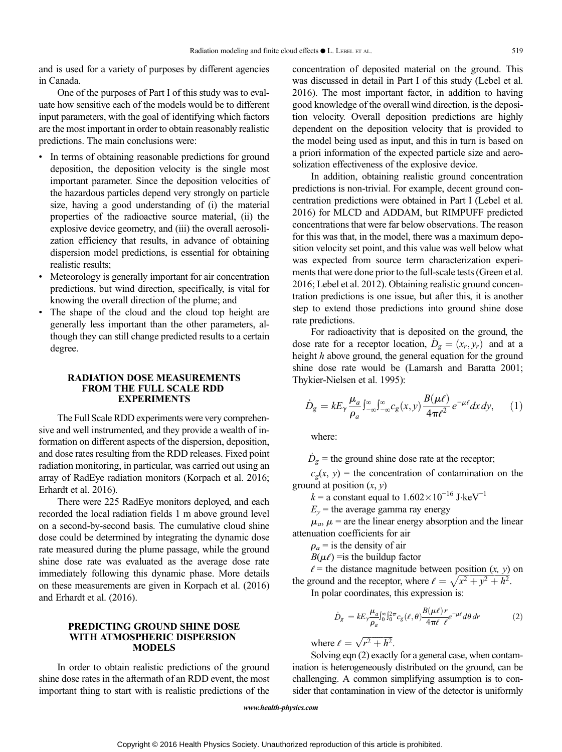and is used for a variety of purposes by different agencies in Canada.

One of the purposes of Part I of this study was to evaluate how sensitive each of the models would be to different input parameters, with the goal of identifying which factors are the most important in order to obtain reasonably realistic predictions. The main conclusions were:

- In terms of obtaining reasonable predictions for ground deposition, the deposition velocity is the single most important parameter. Since the deposition velocities of the hazardous particles depend very strongly on particle size, having a good understanding of (i) the material properties of the radioactive source material, (ii) the explosive device geometry, and (iii) the overall aerosolization efficiency that results, in advance of obtaining dispersion model predictions, is essential for obtaining realistic results;
- Meteorology is generally important for air concentration predictions, but wind direction, specifically, is vital for knowing the overall direction of the plume; and
- The shape of the cloud and the cloud top height are generally less important than the other parameters, although they can still change predicted results to a certain degree.

## RADIATION DOSE MEASUREMENTS FROM THE FULL SCALE RDD EXPERIMENTS

The Full Scale RDD experiments were very comprehensive and well instrumented, and they provide a wealth of information on different aspects of the dispersion, deposition, and dose rates resulting from the RDD releases. Fixed point radiation monitoring, in particular, was carried out using an array of RadEye radiation monitors (Korpach et al. 2016; Erhardt et al. 2016).

There were 225 RadEye monitors deployed, and each recorded the local radiation fields 1 m above ground level on a second-by-second basis. The cumulative cloud shine dose could be determined by integrating the dynamic dose rate measured during the plume passage, while the ground shine dose rate was evaluated as the average dose rate immediately following this dynamic phase. More details on these measurements are given in Korpach et al. (2016) and Erhardt et al. (2016).

## PREDICTING GROUND SHINE DOSE WITH ATMOSPHERIC DISPERSION **MODELS**

In order to obtain realistic predictions of the ground shine dose rates in the aftermath of an RDD event, the most important thing to start with is realistic predictions of the concentration of deposited material on the ground. This was discussed in detail in Part I of this study (Lebel et al. 2016). The most important factor, in addition to having good knowledge of the overall wind direction, is the deposition velocity. Overall deposition predictions are highly dependent on the deposition velocity that is provided to the model being used as input, and this in turn is based on a priori information of the expected particle size and aerosolization effectiveness of the explosive device.

In addition, obtaining realistic ground concentration predictions is non-trivial. For example, decent ground concentration predictions were obtained in Part I (Lebel et al. 2016) for MLCD and ADDAM, but RIMPUFF predicted concentrations that were far below observations. The reason for this was that, in the model, there was a maximum deposition velocity set point, and this value was well below what was expected from source term characterization experiments that were done prior to the full-scale tests (Green et al. 2016; Lebel et al. 2012). Obtaining realistic ground concentration predictions is one issue, but after this, it is another step to extend those predictions into ground shine dose rate predictions.

For radioactivity that is deposited on the ground, the For radioactivity that is deposited on the ground, the<br>dose rate for a receptor location,  $D_g = (x_r, y_r)$  and at a height h above ground, the general equation for the ground shine dose rate would be (Lamarsh and Baratta 2001; Thykier-Nielsen et al. 1995):

$$
\dot{D}_g = kE_\gamma \frac{\mu_a}{\rho_a} \int_{-\infty}^{\infty} \int_{-\infty}^{\infty} c_g(x, y) \frac{B(\mu \ell)}{4\pi \ell^2} e^{-\mu \ell} dx dy, \qquad (1)
$$

where:

.<br>.  $D_g$  = the ground shine dose rate at the receptor;

 $c_g(x, y)$  = the concentration of contamination on the ground at position  $(x, y)$ 

 $k =$  a constant equal to  $1.602 \times 10^{-16}$  J·keV<sup>-1</sup>

 $E_v$  = the average gamma ray energy

 $\mu_a$ ,  $\mu$  = are the linear energy absorption and the linear attenuation coefficients for air

 $\rho_a$  = is the density of air

 $B(\mu\ell)$  = is the buildup factor

 $\ell$  = the distance magnitude between position  $(x, y)$  on the ground and the receptor, where  $\ell = \sqrt{x^2 + y^2 + h^2}$ . In polar coordinates, this expression is:

$$
\dot{D}_g = k E_\gamma \frac{\mu_a}{\rho_a} \int_0^\infty \int_0^{2\pi} c_g(\ell, \theta) \frac{B(\mu\ell)r}{4\pi\ell \ \ell} e^{-\mu\ell} d\theta \, dr \tag{2}
$$

where  $\ell = \sqrt{r^2 + h^2}$ .

Solving eqn (2) exactly for a general case, when contamination is heterogeneously distributed on the ground, can be challenging. A common simplifying assumption is to consider that contamination in view of the detector is uniformly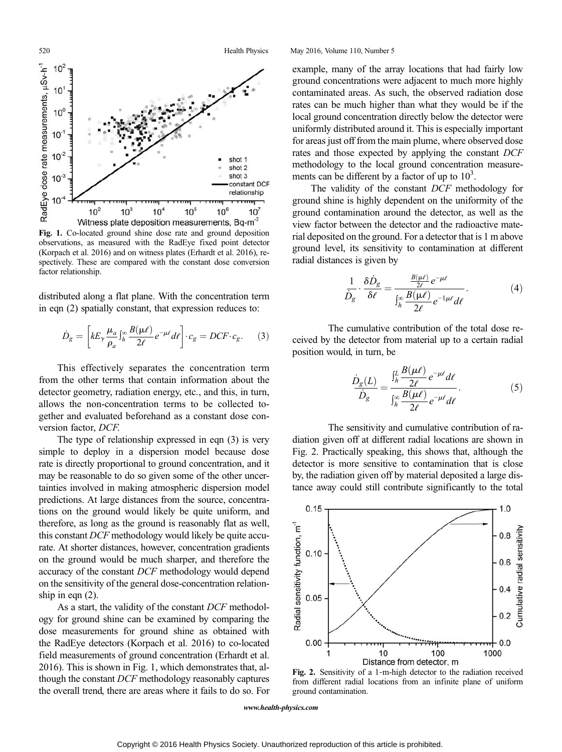520 Health Physics May 2016, Volume 110, Number 5 RadEye dose rate measurements, uSv-h<sup>-1</sup>  $10<sup>3</sup>$ 10  $10^{\circ}$  $10^{-1}$  $10^{-2}$ shot 1 shot 2  $10^{-3}$ shot 3 constant DCF relationship 0  $10<sup>2</sup>$  $10<sup>3</sup>$  $10<sup>4</sup>$  $10<sup>5</sup>$  $10<sup>6</sup>$  $10<sup>7</sup>$ Witness plate deposition measurements, Bq-m<sup>-2</sup>

Fig. 1. Co-located ground shine dose rate and ground deposition observations, as measured with the RadEye fixed point detector (Korpach et al. 2016) and on witness plates (Erhardt et al. 2016), respectively. These are compared with the constant dose conversion factor relationship.

distributed along a flat plane. With the concentration term in eqn (2) spatially constant, that expression reduces to:

$$
\dot{D}_g = \left[ k E_\gamma \frac{\mu_a}{\rho_a} \int_h^\infty \frac{B(\mu \ell)}{2\ell} e^{-\mu \ell} d\ell \right] \cdot c_g = DCF \cdot c_g. \tag{3}
$$

This effectively separates the concentration term from the other terms that contain information about the detector geometry, radiation energy, etc., and this, in turn, allows the non-concentration terms to be collected together and evaluated beforehand as a constant dose conversion factor, DCF.

The type of relationship expressed in eqn (3) is very simple to deploy in a dispersion model because dose rate is directly proportional to ground concentration, and it may be reasonable to do so given some of the other uncertainties involved in making atmospheric dispersion model predictions. At large distances from the source, concentrations on the ground would likely be quite uniform, and therefore, as long as the ground is reasonably flat as well, this constant DCF methodology would likely be quite accurate. At shorter distances, however, concentration gradients on the ground would be much sharper, and therefore the accuracy of the constant DCF methodology would depend on the sensitivity of the general dose-concentration relationship in eqn (2).

As a start, the validity of the constant DCF methodology for ground shine can be examined by comparing the dose measurements for ground shine as obtained with the RadEye detectors (Korpach et al. 2016) to co-located field measurements of ground concentration (Erhardt et al. 2016). This is shown in Fig. 1, which demonstrates that, although the constant DCF methodology reasonably captures the overall trend, there are areas where it fails to do so. For

example, many of the array locations that had fairly low ground concentrations were adjacent to much more highly contaminated areas. As such, the observed radiation dose rates can be much higher than what they would be if the local ground concentration directly below the detector were uniformly distributed around it. This is especially important for areas just off from the main plume, where observed dose rates and those expected by applying the constant DCF methodology to the local ground concentration measurements can be different by a factor of up to  $10^3$ .

The validity of the constant DCF methodology for ground shine is highly dependent on the uniformity of the ground contamination around the detector, as well as the view factor between the detector and the radioactive material deposited on the ground. For a detector that is 1 m above ground level, its sensitivity to contamination at different radial distances is given by

$$
\frac{1}{\dot{D}_{g}} \cdot \frac{\delta \dot{D}_{g}}{\delta \ell} = \frac{\frac{B(\mu \ell)}{2\ell} e^{-\mu \ell}}{\int_{h}^{\infty} \frac{B(\mu \ell)}{2\ell} e^{-1\mu \ell} d\ell}.
$$
(4)

The cumulative contribution of the total dose received by the detector from material up to a certain radial position would, in turn, be

$$
\frac{\dot{D}_{g}(L)}{\dot{D}_{g}} = \frac{\int_{h}^{L} \frac{B(\mu \ell)}{2\ell} e^{-\mu \ell} d\ell}{\int_{h}^{\infty} \frac{B(\mu \ell)}{2\ell} e^{-\mu \ell} d\ell}.
$$
\n(5)

The sensitivity and cumulative contribution of radiation given off at different radial locations are shown in Fig. 2. Practically speaking, this shows that, although the detector is more sensitive to contamination that is close by, the radiation given off by material deposited a large distance away could still contribute significantly to the total



Fig. 2. Sensitivity of a 1-m-high detector to the radiation received from different radial locations from an infinite plane of uniform ground contamination.

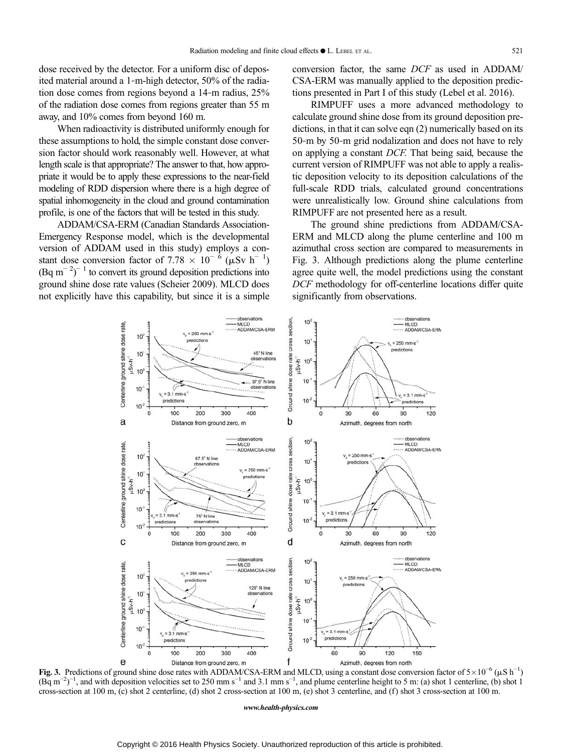dose received by the detector. For a uniform disc of deposited material around a 1‐m-high detector, 50% of the radiation dose comes from regions beyond a 14‐m radius, 25% of the radiation dose comes from regions greater than 55 m away, and 10% comes from beyond 160 m.

When radioactivity is distributed uniformly enough for these assumptions to hold, the simple constant dose conversion factor should work reasonably well. However, at what length scale is that appropriate? The answer to that, how appropriate it would be to apply these expressions to the near-field modeling of RDD dispersion where there is a high degree of spatial inhomogeneity in the cloud and ground contamination profile, is one of the factors that will be tested in this study.

ADDAM/CSA-ERM (Canadian Standards Association-Emergency Response model, which is the developmental version of ADDAM used in this study) employs a constant dose conversion factor of 7.78  $\times$  10<sup>-6</sup> ( $\mu$ Sv h<sup>-1</sup>)  $(Bq \text{ m}^{-2})^{-1}$  to convert its ground deposition predictions into ground shine dose rate values (Scheier 2009). MLCD does not explicitly have this capability, but since it is a simple conversion factor, the same DCF as used in ADDAM/ CSA-ERM was manually applied to the deposition predictions presented in Part I of this study (Lebel et al. 2016).

RIMPUFF uses a more advanced methodology to calculate ground shine dose from its ground deposition predictions, in that it can solve eqn (2) numerically based on its 50‐m by 50‐m grid nodalization and does not have to rely on applying a constant DCF. That being said, because the current version of RIMPUFF was not able to apply a realistic deposition velocity to its deposition calculations of the full-scale RDD trials, calculated ground concentrations were unrealistically low. Ground shine calculations from RIMPUFF are not presented here as a result.

The ground shine predictions from ADDAM/CSA-ERM and MLCD along the plume centerline and 100 m azimuthal cross section are compared to measurements in Fig. 3. Although predictions along the plume centerline agree quite well, the model predictions using the constant DCF methodology for off-centerline locations differ quite significantly from observations.



Fig. 3. Predictions of ground shine dose rates with ADDAM/CSA-ERM and MLCD, using a constant dose conversion factor of  $5 \times 10^{-6}$  ( $\mu$ S h<sup>-1</sup>)  $(Bq \, \text{m}^{-2})^{-1}$ , and with deposition velocities set to 250 mm s<sup>-1</sup> and 3.1 mm s<sup>-1</sup>, and plume centerline height to 5 m: (a) shot 1 centerline, (b) shot 1 cross-section at 100 m, (c) shot 2 centerline, (d) shot 2 cross-section at 100 m, (e) shot 3 centerline, and (f ) shot 3 cross-section at 100 m.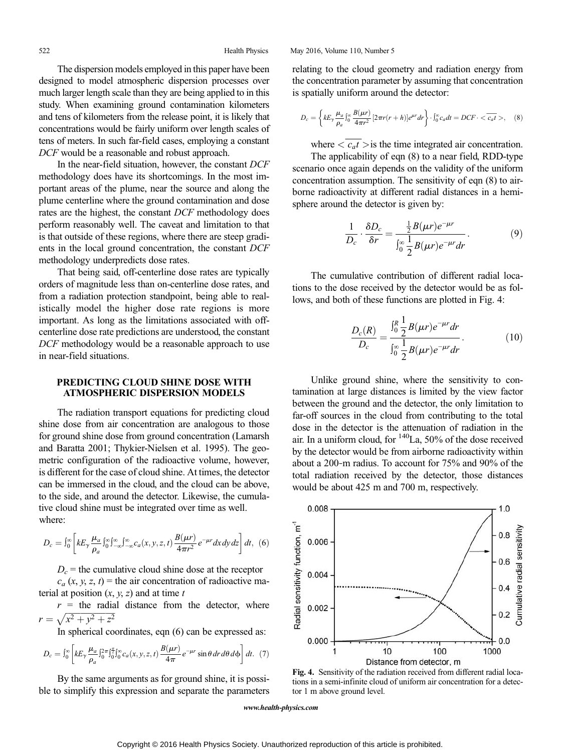The dispersion models employed in this paper have been designed to model atmospheric dispersion processes over much larger length scale than they are being applied to in this study. When examining ground contamination kilometers and tens of kilometers from the release point, it is likely that concentrations would be fairly uniform over length scales of tens of meters. In such far-field cases, employing a constant DCF would be a reasonable and robust approach.

In the near-field situation, however, the constant DCF methodology does have its shortcomings. In the most important areas of the plume, near the source and along the plume centerline where the ground contamination and dose rates are the highest, the constant DCF methodology does perform reasonably well. The caveat and limitation to that is that outside of these regions, where there are steep gradients in the local ground concentration, the constant DCF methodology underpredicts dose rates.

That being said, off-centerline dose rates are typically orders of magnitude less than on-centerline dose rates, and from a radiation protection standpoint, being able to realistically model the higher dose rate regions is more important. As long as the limitations associated with offcenterline dose rate predictions are understood, the constant DCF methodology would be a reasonable approach to use in near-field situations.

## PREDICTING CLOUD SHINE DOSE WITH ATMOSPHERIC DISPERSION MODELS

The radiation transport equations for predicting cloud shine dose from air concentration are analogous to those for ground shine dose from ground concentration (Lamarsh and Baratta 2001; Thykier-Nielsen et al. 1995). The geometric configuration of the radioactive volume, however, is different for the case of cloud shine. At times, the detector can be immersed in the cloud, and the cloud can be above, to the side, and around the detector. Likewise, the cumulative cloud shine must be integrated over time as well. where:

$$
D_c = \int_0^\infty \left[ k E_\gamma \frac{\mu_a}{\rho_a} \int_0^\infty \int_{-\infty}^\infty \int_{-\infty}^\infty c_a(x, y, z, t) \frac{B(\mu r)}{4\pi r^2} e^{-\mu r} dx dy dz \right] dt, \tag{6}
$$

 $D_c$  = the cumulative cloud shine dose at the receptor  $c_a$  (x, y, z, t) = the air concentration of radioactive ma-

terial at position  $(x, y, z)$  and at time t  $r =$  the radial distance from the detector, where

 $r = \sqrt{x^2 + y^2 + z^2}$ In spherical coordinates, eqn (6) can be expressed as:

$$
D_c = \int_0^\infty \left[ k E_\gamma \frac{\mu_a}{\rho_a} \int_0^{2\pi} \int_0^{\frac{\pi}{2}} \int_0^\infty c_a(x, y, z, t) \frac{B(\mu r)}{4\pi} e^{-\mu r} \sin\theta \, dr \, d\theta \, d\phi \right] dt. \tag{7}
$$

By the same arguments as for ground shine, it is possible to simplify this expression and separate the parameters relating to the cloud geometry and radiation energy from the concentration parameter by assuming that concentration is spatially uniform around the detector:

$$
D_c = \left\{ k E_{\gamma} \frac{\mu_a}{\rho_a} \int_0^{\infty} \frac{B(\mu r)}{4\pi r^2} \left[ 2\pi r (r+h) \right] e^{\mu r} dr \right\} \cdot \int_0^{\infty} c_a dt = DCF \cdot \langle \overline{c_a t} \rangle, \quad (8)
$$

where  $\langle \overline{c_a t} \rangle$  is the time integrated air concentration.

The applicability of eqn (8) to a near field, RDD-type scenario once again depends on the validity of the uniform concentration assumption. The sensitivity of eqn (8) to airborne radioactivity at different radial distances in a hemisphere around the detector is given by:

$$
\frac{1}{D_c} \cdot \frac{\delta D_c}{\delta r} = \frac{\frac{1}{2}B(\mu r)e^{-\mu r}}{\int_0^\infty \frac{1}{2}B(\mu r)e^{-\mu r}dr}.
$$
\n(9)

The cumulative contribution of different radial locations to the dose received by the detector would be as follows, and both of these functions are plotted in Fig. 4:

$$
\frac{D_c(R)}{D_c} = \frac{\int_0^R \frac{1}{2} B(\mu r) e^{-\mu r} dr}{\int_0^{\infty} \frac{1}{2} B(\mu r) e^{-\mu r} dr}.
$$
 (10)

Unlike ground shine, where the sensitivity to contamination at large distances is limited by the view factor between the ground and the detector, the only limitation to far-off sources in the cloud from contributing to the total dose in the detector is the attenuation of radiation in the air. In a uniform cloud, for  $140$ La, 50% of the dose received by the detector would be from airborne radioactivity within about a 200‐m radius. To account for 75% and 90% of the total radiation received by the detector, those distances would be about 425 m and 700 m, respectively.



Fig. 4. Sensitivity of the radiation received from different radial locations in a semi-infinite cloud of uniform air concentration for a detector 1 m above ground level.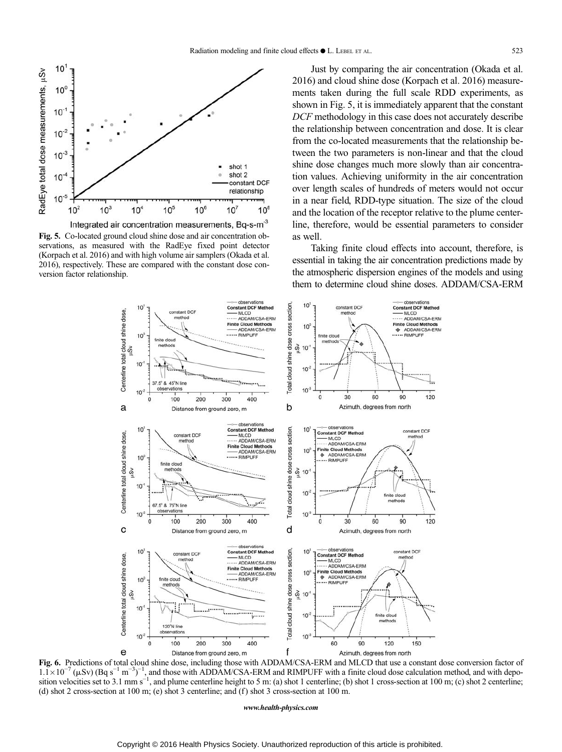

Integrated air concentration measurements, Bq-s-m<sup>-3</sup> Fig. 5. Co-located ground cloud shine dose and air concentration observations, as measured with the RadEye fixed point detector (Korpach et al. 2016) and with high volume air samplers (Okada et al. 2016), respectively. These are compared with the constant dose conversion factor relationship.

Just by comparing the air concentration (Okada et al. 2016) and cloud shine dose (Korpach et al. 2016) measurements taken during the full scale RDD experiments, as shown in Fig. 5, it is immediately apparent that the constant DCF methodology in this case does not accurately describe the relationship between concentration and dose. It is clear from the co-located measurements that the relationship between the two parameters is non-linear and that the cloud shine dose changes much more slowly than air concentration values. Achieving uniformity in the air concentration over length scales of hundreds of meters would not occur in a near field, RDD-type situation. The size of the cloud and the location of the receptor relative to the plume centerline, therefore, would be essential parameters to consider as well.

Taking finite cloud effects into account, therefore, is essential in taking the air concentration predictions made by the atmospheric dispersion engines of the models and using them to determine cloud shine doses. ADDAM/CSA-ERM



Fig. 6. Predictions of total cloud shine dose, including those with ADDAM/CSA-ERM and MLCD that use a constant dose conversion factor of  $1.\overline{1} \times 10^{-7}$  ( $\mu$ Sv) (Bq s<sup>-1</sup> m<sup>-3</sup>)<sup>-1</sup>, and those with ADDAM/CSA-ERM and RIMPUFF with a finite cloud dose calculation method, and with deposition velocities set to 3.1 mm s<sup>-1</sup>, and plume centerline height to 5 m (d) shot 2 cross-section at 100 m; (e) shot 3 centerline; and (f) shot 3 cross-section at 100 m.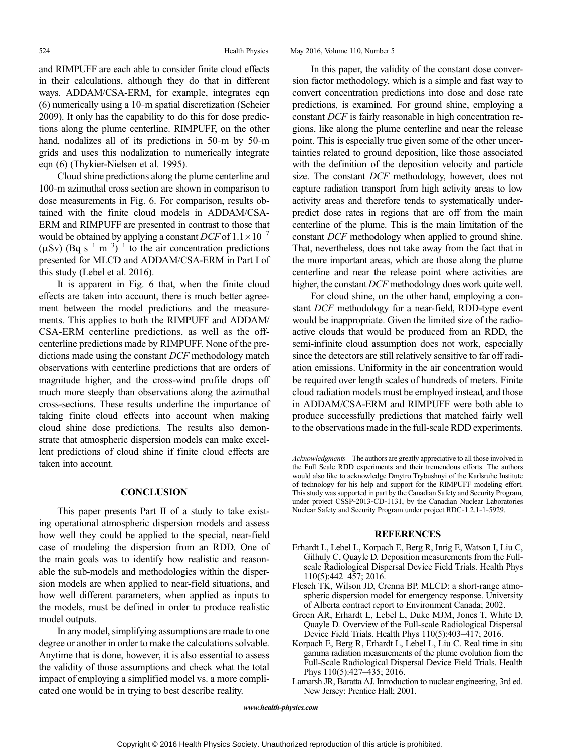and RIMPUFF are each able to consider finite cloud effects in their calculations, although they do that in different ways. ADDAM/CSA-ERM, for example, integrates eqn (6) numerically using a 10‐m spatial discretization (Scheier 2009). It only has the capability to do this for dose predictions along the plume centerline. RIMPUFF, on the other hand, nodalizes all of its predictions in 50-m by 50-m grids and uses this nodalization to numerically integrate eqn (6) (Thykier-Nielsen et al. 1995).

Cloud shine predictions along the plume centerline and 100‐m azimuthal cross section are shown in comparison to dose measurements in Fig. 6. For comparison, results obtained with the finite cloud models in ADDAM/CSA-ERM and RIMPUFF are presented in contrast to those that would be obtained by applying a constant DCF of  $1.1 \times 10^{-7}$  $(\mu Sv)$  (Bq s<sup>-1</sup> m<sup>-3</sup>)<sup>-1</sup> to the air concentration predictions presented for MLCD and ADDAM/CSA-ERM in Part I of this study (Lebel et al. 2016).

It is apparent in Fig. 6 that, when the finite cloud effects are taken into account, there is much better agreement between the model predictions and the measurements. This applies to both the RIMPUFF and ADDAM/ CSA-ERM centerline predictions, as well as the offcenterline predictions made by RIMPUFF. None of the predictions made using the constant DCF methodology match observations with centerline predictions that are orders of magnitude higher, and the cross-wind profile drops off much more steeply than observations along the azimuthal cross-sections. These results underline the importance of taking finite cloud effects into account when making cloud shine dose predictions. The results also demonstrate that atmospheric dispersion models can make excellent predictions of cloud shine if finite cloud effects are taken into account.

## **CONCLUSION**

This paper presents Part II of a study to take existing operational atmospheric dispersion models and assess how well they could be applied to the special, near-field case of modeling the dispersion from an RDD. One of the main goals was to identify how realistic and reasonable the sub-models and methodologies within the dispersion models are when applied to near-field situations, and how well different parameters, when applied as inputs to the models, must be defined in order to produce realistic model outputs.

In any model, simplifying assumptions are made to one degree or another in order to make the calculations solvable. Anytime that is done, however, it is also essential to assess the validity of those assumptions and check what the total impact of employing a simplified model vs. a more complicated one would be in trying to best describe reality.

In this paper, the validity of the constant dose conversion factor methodology, which is a simple and fast way to convert concentration predictions into dose and dose rate predictions, is examined. For ground shine, employing a constant DCF is fairly reasonable in high concentration regions, like along the plume centerline and near the release point. This is especially true given some of the other uncertainties related to ground deposition, like those associated with the definition of the deposition velocity and particle size. The constant DCF methodology, however, does not capture radiation transport from high activity areas to low activity areas and therefore tends to systematically underpredict dose rates in regions that are off from the main centerline of the plume. This is the main limitation of the constant DCF methodology when applied to ground shine. That, nevertheless, does not take away from the fact that in the more important areas, which are those along the plume centerline and near the release point where activities are higher, the constant DCF methodology does work quite well.

For cloud shine, on the other hand, employing a constant DCF methodology for a near-field, RDD-type event would be inappropriate. Given the limited size of the radioactive clouds that would be produced from an RDD, the semi-infinite cloud assumption does not work, especially since the detectors are still relatively sensitive to far off radiation emissions. Uniformity in the air concentration would be required over length scales of hundreds of meters. Finite cloud radiation models must be employed instead, and those in ADDAM/CSA-ERM and RIMPUFF were both able to produce successfully predictions that matched fairly well to the observations made in the full-scale RDD experiments.

## **REFERENCES**

- Erhardt L, Lebel L, Korpach E, Berg R, Inrig E, Watson I, Liu C, Gilhuly C, Quayle D. Deposition measurements from the Fullscale Radiological Dispersal Device Field Trials. Health Phys 110(5):442–457; 2016.
- Flesch TK, Wilson JD, Crenna BP. MLCD: a short-range atmospheric dispersion model for emergency response. University of Alberta contract report to Environment Canada; 2002.
- Green AR, Erhardt L, Lebel L, Duke MJM, Jones T, White D, Quayle D. Overview of the Full-scale Radiological Dispersal Device Field Trials. Health Phys 110(5):403–417; 2016.
- Korpach E, Berg R, Erhardt L, Lebel L, Liu C. Real time in situ gamma radiation measurements of the plume evolution from the Full-Scale Radiological Dispersal Device Field Trials. Health Phys 110(5):427–435; 2016.
- Lamarsh JR, Baratta AJ. Introduction to nuclear engineering, 3rd ed. New Jersey: Prentice Hall; 2001.

Acknowledgments—The authors are greatly appreciative to all those involved in the Full Scale RDD experiments and their tremendous efforts. The authors would also like to acknowledge Dmytro Trybushnyi of the Karlsruhe Institute of technology for his help and support for the RIMPUFF modeling effort. This study was supported in part by the Canadian Safety and Security Program, under project CSSP-2013-CD-1131, by the Canadian Nuclear Laboratories Nuclear Safety and Security Program under project RDC‐1.2.1‐1‐5929.